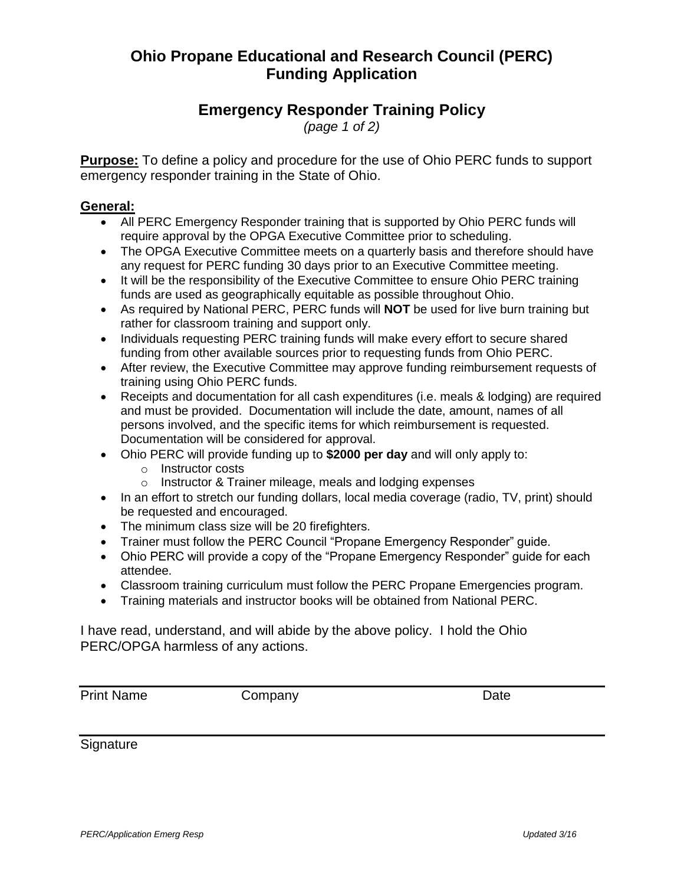## **Ohio Propane Educational and Research Council (PERC) Funding Application**

## **Emergency Responder Training Policy**

*(page 1 of 2)*

**Purpose:** To define a policy and procedure for the use of Ohio PERC funds to support emergency responder training in the State of Ohio.

### **General:**

- All PERC Emergency Responder training that is supported by Ohio PERC funds will require approval by the OPGA Executive Committee prior to scheduling.
- The OPGA Executive Committee meets on a quarterly basis and therefore should have any request for PERC funding 30 days prior to an Executive Committee meeting.
- It will be the responsibility of the Executive Committee to ensure Ohio PERC training funds are used as geographically equitable as possible throughout Ohio.
- As required by National PERC, PERC funds will **NOT** be used for live burn training but rather for classroom training and support only.
- Individuals requesting PERC training funds will make every effort to secure shared funding from other available sources prior to requesting funds from Ohio PERC.
- After review, the Executive Committee may approve funding reimbursement requests of training using Ohio PERC funds.
- Receipts and documentation for all cash expenditures (i.e. meals & lodging) are required and must be provided. Documentation will include the date, amount, names of all persons involved, and the specific items for which reimbursement is requested. Documentation will be considered for approval.
- Ohio PERC will provide funding up to **\$2000 per day** and will only apply to:
	- o Instructor costs
	- o Instructor & Trainer mileage, meals and lodging expenses
- In an effort to stretch our funding dollars, local media coverage (radio, TV, print) should be requested and encouraged.
- The minimum class size will be 20 firefighters.
- Trainer must follow the PERC Council "Propane Emergency Responder" guide.
- Ohio PERC will provide a copy of the "Propane Emergency Responder" guide for each attendee.
- Classroom training curriculum must follow the PERC Propane Emergencies program.
- Training materials and instructor books will be obtained from National PERC.

I have read, understand, and will abide by the above policy. I hold the Ohio PERC/OPGA harmless of any actions.

Print Name Company Company Date

**Signature**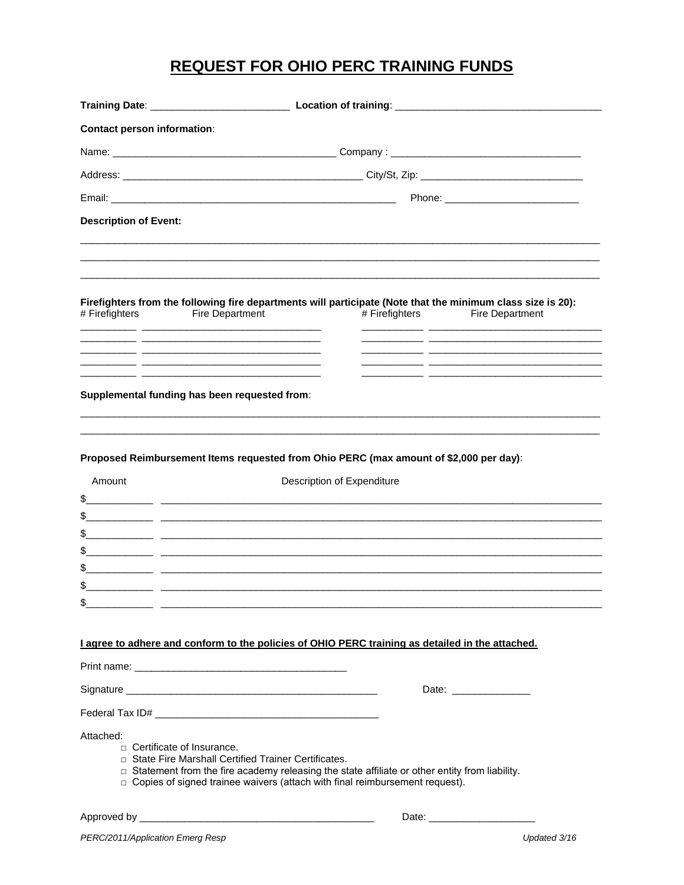# **REQUEST FOR OHIO PERC TRAINING FUNDS**

| <b>Contact person information:</b> |                                                                                                                                                                                                                                                                                    |  |  |  |  |  |
|------------------------------------|------------------------------------------------------------------------------------------------------------------------------------------------------------------------------------------------------------------------------------------------------------------------------------|--|--|--|--|--|
|                                    |                                                                                                                                                                                                                                                                                    |  |  |  |  |  |
|                                    |                                                                                                                                                                                                                                                                                    |  |  |  |  |  |
|                                    |                                                                                                                                                                                                                                                                                    |  |  |  |  |  |
| <b>Description of Event:</b>       |                                                                                                                                                                                                                                                                                    |  |  |  |  |  |
| # Firefighters<br>المستحدث         | Firefighters from the following fire departments will participate (Note that the minimum class size is 20):<br>Fire Department<br># Firefighters<br><b>Fire Department</b>                                                                                                         |  |  |  |  |  |
|                                    | <u> 2008 - Andrea Stadt, amerikansk politik (d. 1982)</u><br><u> 1989 - Johann John Stone, mars et al. (</u><br>Supplemental funding has been requested from:                                                                                                                      |  |  |  |  |  |
| Amount<br>\$                       | Proposed Reimbursement Items requested from Ohio PERC (max amount of \$2,000 per day):<br>Description of Expenditure<br><u> 1989 - Jan Jan James, mars and de la component de la component de la componentation de la componentation de l</u>                                      |  |  |  |  |  |
|                                    |                                                                                                                                                                                                                                                                                    |  |  |  |  |  |
| \$                                 | <u> 1990 - Jan James James, martin filozof, filozof, filozof, filozof, filozof, filozof, filozof, filozof, filozof</u>                                                                                                                                                             |  |  |  |  |  |
| \$                                 | <u> 1989 - Jan Jan James, mars et al. 1989 - 1989 - 1989 - 1989 - 1989 - 1989 - 1989 - 1989 - 1989 - 1989 - 1989</u>                                                                                                                                                               |  |  |  |  |  |
| \$                                 | <u> 1989 - Andrea Santa Andrea Andrea Andrea Andrea Andrea Andrea Andrea Andrea Andrea Andrea Andrea Andrea Andr</u>                                                                                                                                                               |  |  |  |  |  |
| \$                                 |                                                                                                                                                                                                                                                                                    |  |  |  |  |  |
|                                    |                                                                                                                                                                                                                                                                                    |  |  |  |  |  |
|                                    | I agree to adhere and conform to the policies of OHIO PERC training as detailed in the attached.                                                                                                                                                                                   |  |  |  |  |  |
|                                    |                                                                                                                                                                                                                                                                                    |  |  |  |  |  |
|                                    | Date: _________________                                                                                                                                                                                                                                                            |  |  |  |  |  |
|                                    |                                                                                                                                                                                                                                                                                    |  |  |  |  |  |
| Attached:                          | $\Box$ Certificate of Insurance.<br>□ State Fire Marshall Certified Trainer Certificates.<br>□ Statement from the fire academy releasing the state affiliate or other entity from liability.<br>$\Box$ Copies of signed trainee waivers (attach with final reimbursement request). |  |  |  |  |  |
|                                    |                                                                                                                                                                                                                                                                                    |  |  |  |  |  |

Updated 3/16